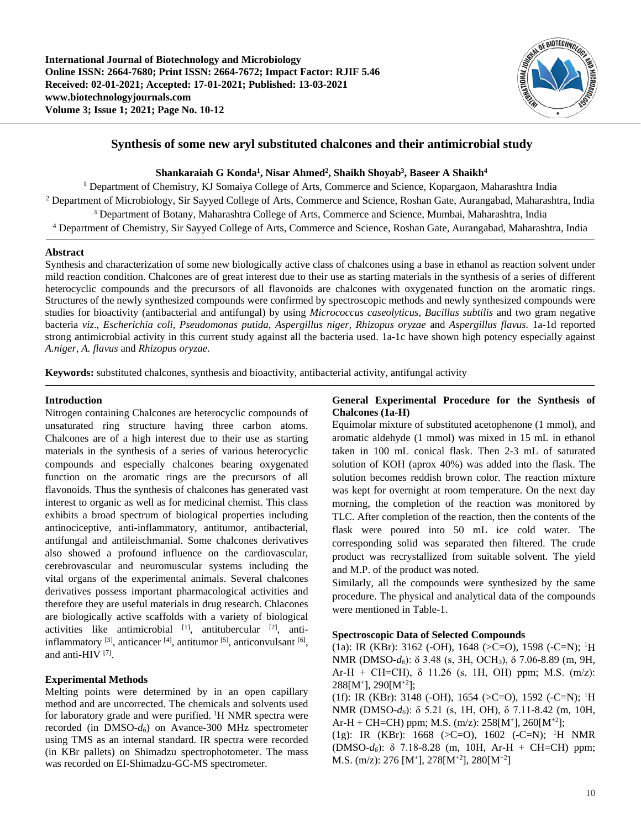

# **Synthesis of some new aryl substituted chalcones and their antimicrobial study**

 $\boldsymbol{\mathrm{Shankaraiah}}$   $\boldsymbol{\mathrm{G}}$   $\boldsymbol{\mathrm{Konda^1,Nisar}}$   $\boldsymbol{\mathrm{Ahmed^2,Nialkh}}$   $\boldsymbol{\mathrm{Shaikh^3,Nisar}}$   $\boldsymbol{\mathrm{Shaikh^4}}$ 

<sup>1</sup> Department of Chemistry, KJ Somaiya College of Arts, Commerce and Science, Kopargaon, Maharashtra India Department of Microbiology, Sir Sayyed College of Arts, Commerce and Science, Roshan Gate, Aurangabad, Maharashtra, India Department of Botany, Maharashtra College of Arts, Commerce and Science, Mumbai, Maharashtra, India Department of Chemistry, Sir Sayyed College of Arts, Commerce and Science, Roshan Gate, Aurangabad, Maharashtra, India

## **Abstract**

Synthesis and characterization of some new biologically active class of chalcones using a base in ethanol as reaction solvent under mild reaction condition. Chalcones are of great interest due to their use as starting materials in the synthesis of a series of different heterocyclic compounds and the precursors of all flavonoids are chalcones with oxygenated function on the aromatic rings. Structures of the newly synthesized compounds were confirmed by spectroscopic methods and newly synthesized compounds were studies for bioactivity (antibacterial and antifungal) by using *Micrococcus caseolyticus, Bacillus subtilis* and two gram negative bacteria *viz*., *Escherichia coli, Pseudomonas putida*, *Aspergillus niger, Rhizopus oryzae* and *Aspergillus flavus.* 1a-1d reported strong antimicrobial activity in this current study against all the bacteria used. 1a-1c have shown high potency especially against *A.niger, A. flavus* and *Rhizopus oryzae*.

**Keywords:** substituted chalcones, synthesis and bioactivity, antibacterial activity, antifungal activity

### **Introduction**

Nitrogen containing Chalcones are heterocyclic compounds of unsaturated ring structure having three carbon atoms. Chalcones are of a high interest due to their use as starting materials in the synthesis of a series of various heterocyclic compounds and especially chalcones bearing oxygenated function on the aromatic rings are the precursors of all flavonoids. Thus the synthesis of chalcones has generated vast interest to organic as well as for medicinal chemist. This class exhibits a broad spectrum of biological properties including antinociceptive, anti-inflammatory, antitumor, antibacterial, antifungal and antileischmanial. Some chalcones derivatives also showed a profound influence on the cardiovascular, cerebrovascular and neuromuscular systems including the vital organs of the experimental animals. Several chalcones derivatives possess important pharmacological activities and therefore they are useful materials in drug research. Chlacones are biologically active scaffolds with a variety of biological activities like antimicrobial  $[1]$ , antitubercular  $[2]$ , antiinflammatory  $[3]$ , anticancer  $[4]$ , antitumor  $[5]$ , anticonvulsant  $[6]$ , and anti-HIV [7].

## **Experimental Methods**

Melting points were determined by in an open capillary method and are uncorrected. The chemicals and solvents used for laboratory grade and were purified. <sup>1</sup>H NMR spectra were recorded (in DMSO-*d6*) on Avance-300 MHz spectrometer using TMS as an internal standard. IR spectra were recorded (in KBr pallets) on Shimadzu spectrophotometer. The mass was recorded on EI-Shimadzu-GC-MS spectrometer.

## **General Experimental Procedure for the Synthesis of Chalcones (1a-H)**

Equimolar mixture of substituted acetophenone (1 mmol), and aromatic aldehyde (1 mmol) was mixed in 15 mL in ethanol taken in 100 mL conical flask. Then 2-3 mL of saturated solution of KOH (aprox 40%) was added into the flask. The solution becomes reddish brown color. The reaction mixture was kept for overnight at room temperature. On the next day morning, the completion of the reaction was monitored by TLC. After completion of the reaction, then the contents of the flask were poured into 50 mL ice cold water. The corresponding solid was separated then filtered. The crude product was recrystallized from suitable solvent. The yield and M.P. of the product was noted.

Similarly, all the compounds were synthesized by the same procedure. The physical and analytical data of the compounds were mentioned in Table-1.

## **Spectroscopic Data of Selected Compounds**

(1a): IR (KBr): 3162 (-OH), 1648 (>C=O), 1598 (-C=N); 1 H NMR (DMSO-*d6*): δ 3.48 (s, 3H, OCH3), δ 7.06-8.89 (m, 9H, Ar-H + CH=CH),  $\delta$  11.26 (s, 1H, OH) ppm; M.S. (m/z): 288[M+], 290[M+2];

(1f): IR (KBr): 3148 (-OH), 1654 (>C=O), 1592 (-C=N); 1 H NMR (DMSO-*d6*): δ 5.21 (s, 1H, OH), δ 7.11-8.42 (m, 10H, Ar-H + CH=CH) ppm; M.S.  $(m/z)$ : 258[M<sup>+</sup>], 260[M<sup>+2</sup>];

(1g): IR (KBr): 1668 (>C=O), 1602 (-C=N); <sup>1</sup>H NMR (DMSO-*d6*): δ 7.18-8.28 (m, 10H, Ar-H + CH=CH) ppm; M.S. (m/z): 276 [M<sup>+</sup>], 278[M<sup>+2</sup>], 280[M<sup>+2</sup>]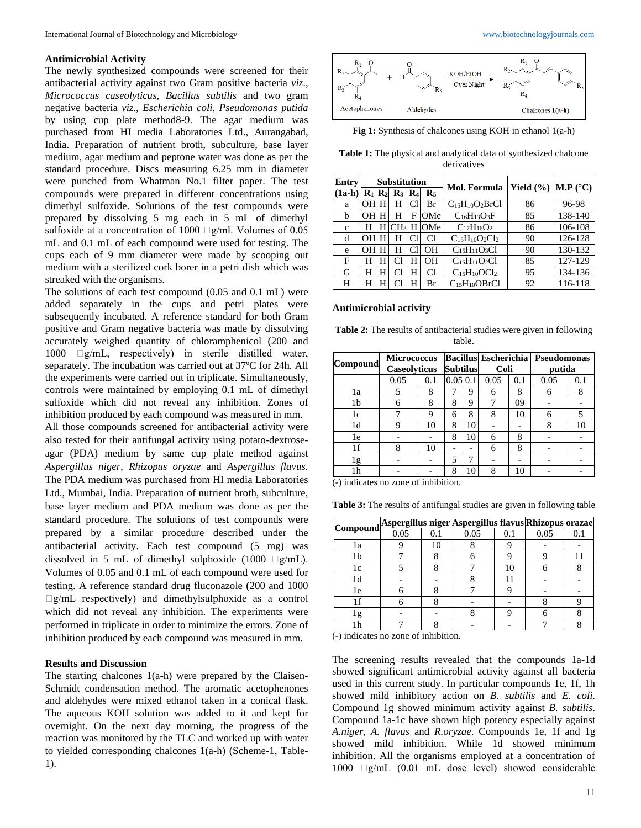#### **Antimicrobial Activity**

The newly synthesized compounds were screened for their antibacterial activity against two Gram positive bacteria *viz*., *Micrococcus caseolyticus, Bacillus subtilis* and two gram negative bacteria *viz*., *Escherichia coli, Pseudomonas putida*  by using cup plate method8-9. The agar medium was purchased from HI media Laboratories Ltd., Aurangabad, India. Preparation of nutrient broth, subculture, base layer medium, agar medium and peptone water was done as per the standard procedure. Discs measuring 6.25 mm in diameter were punched from Whatman No.1 filter paper. The test compounds were prepared in different concentrations using dimethyl sulfoxide. Solutions of the test compounds were prepared by dissolving 5 mg each in 5 mL of dimethyl sulfoxide at a concentration of 1000  $\Box$ g/ml. Volumes of 0.05 mL and 0.1 mL of each compound were used for testing. The cups each of 9 mm diameter were made by scooping out medium with a sterilized cork borer in a petri dish which was streaked with the organisms.

The solutions of each test compound (0.05 and 0.1 mL) were added separately in the cups and petri plates were subsequently incubated. A reference standard for both Gram positive and Gram negative bacteria was made by dissolving accurately weighed quantity of chloramphenicol (200 and 1000  $\Box$ g/mL, respectively) in sterile distilled water, separately. The incubation was carried out at 37ºC for 24h. All the experiments were carried out in triplicate. Simultaneously, controls were maintained by employing 0.1 mL of dimethyl sulfoxide which did not reveal any inhibition. Zones of inhibition produced by each compound was measured in mm.

All those compounds screened for antibacterial activity were also tested for their antifungal activity using potato-dextroseagar (PDA) medium by same cup plate method against *Aspergillus niger, Rhizopus oryzae* and *Aspergillus flavus.*  The PDA medium was purchased from HI media Laboratories Ltd., Mumbai, India. Preparation of nutrient broth, subculture, base layer medium and PDA medium was done as per the standard procedure. The solutions of test compounds were prepared by a similar procedure described under the antibacterial activity. Each test compound (5 mg) was dissolved in 5 mL of dimethyl sulphoxide (1000  $\Box$ g/mL). Volumes of 0.05 and 0.1 mL of each compound were used for testing. A reference standard drug fluconazole (200 and 1000  $\Box$ g/mL respectively) and dimethylsulphoxide as a control which did not reveal any inhibition. The experiments were performed in triplicate in order to minimize the errors. Zone of inhibition produced by each compound was measured in mm.

#### **Results and Discussion**

The starting chalcones 1(a-h) were prepared by the Claisen-Schmidt condensation method. The aromatic acetophenones and aldehydes were mixed ethanol taken in a conical flask. The aqueous KOH solution was added to it and kept for overnight. On the next day morning, the progress of the reaction was monitored by the TLC and worked up with water to yielded corresponding chalcones 1(a-h) (Scheme-1, Table-1).



**Fig 1:** Synthesis of chalcones using KOH in ethanol 1(a-h)

**Table 1:** The physical and analytical data of synthesized chalcone derivatives

| <b>Entry</b> | <b>Substitution</b>           |   |                |                |                  | Mol. Formula                          | Yield $(\%)$   M.P $(^{\circ}C)$ |         |  |
|--------------|-------------------------------|---|----------------|----------------|------------------|---------------------------------------|----------------------------------|---------|--|
| $(1a-h)$     | $\mathbf{R}_1$ $\mathbf{R}_2$ |   | $\mathbf{R}_3$ | $\mathbf{R}_4$ | $\mathbf{R}_{5}$ |                                       |                                  |         |  |
| a            |                               |   | Н              |                | Br               | $C_{15}H_{10}O_2BrCl$                 | 86                               | 96-98   |  |
| b            | ЮH                            |   |                | F              | OMe              | $C_{16}H_{13}O_3F$                    | 85                               | 138-140 |  |
| $\mathbf{C}$ | Н                             | н | CH3            | Н              | OMe              | $C_{17}H_{16}O_2$                     | 86                               | 106-108 |  |
| d            | OН                            |   | н              | CI             | Cl               | $C_{15}H_{10}O_2Cl_2$                 | 90                               | 126-128 |  |
| e            | ЮH                            |   | Н              |                | OН               | $C15H11O3Cl$                          | 90                               | 130-132 |  |
| F            | н                             | Н |                | н              | OН               | $C_{15}H_{11}O_2Cl$                   | 85                               | 127-129 |  |
| G            | н                             | н |                | н              | Cl               | $C_{15}H_{10}OCl2$                    | 95                               | 134-136 |  |
| Н            |                               |   |                | н              | Br               | C <sub>15</sub> H <sub>10</sub> OBrCl | 92                               | 116-118 |  |

#### **Antimicrobial activity**

**Table 2:** The results of antibacterial studies were given in following table.

|                | <b>Micrococcus</b>  |                 |               | <b>Bacillus Escherichia</b> |      | Pseudomonas |      |     |
|----------------|---------------------|-----------------|---------------|-----------------------------|------|-------------|------|-----|
| Compound       | <b>Caseolyticus</b> | <b>Subtilus</b> |               | Coli                        |      | putida      |      |     |
|                | 0.05                | 0.1             | $0.05 \, 0.1$ |                             | 0.05 | 0.1         | 0.05 | 0.1 |
| 1a             | 5                   | 8               |               | 9                           | 6    | 8           | 6    |     |
| 1b             | 6                   | 8               | 8             | 9                           |      | 09          |      |     |
| 1c             |                     | 9               | 6             | 8                           | 8    | 10          | 6    |     |
| 1 <sub>d</sub> | 9                   | 10              | 8             | 10                          |      |             | 8    | 10  |
| 1e             |                     |                 | 8             | 10                          | 6    | 8           |      |     |
| 1f             | 8                   | 10              |               | -                           | 6    | 8           |      |     |
| 1g             |                     |                 | 5             |                             |      |             |      |     |
| 1h             |                     |                 | 8             | 10                          | 8    | 10          |      |     |

(-) indicates no zone of inhibition.

| Table 3: The results of antifungal studies are given in following table |  |  |  |  |
|-------------------------------------------------------------------------|--|--|--|--|
|                                                                         |  |  |  |  |

|     |      |    |      |     | Compound Aspergillus niger Aspergillus flavus Rhizopus orazae |    |  |
|-----|------|----|------|-----|---------------------------------------------------------------|----|--|
|     | 0.05 |    | 0.05 | 0.1 | 0.05                                                          | 0. |  |
| 1a  |      | 10 |      |     |                                                               |    |  |
| 1b  |      |    |      |     |                                                               |    |  |
| l c |      |    |      | 10  |                                                               |    |  |
|     |      |    |      |     |                                                               |    |  |
| 1e  |      |    |      |     |                                                               |    |  |
|     |      |    |      |     |                                                               |    |  |
| g   |      |    |      |     |                                                               |    |  |
|     |      |    |      |     |                                                               |    |  |

(-) indicates no zone of inhibition.

The screening results revealed that the compounds 1a-1d showed significant antimicrobial activity against all bacteria used in this current study. In particular compounds 1e, 1f, 1h showed mild inhibitory action on *B. subtilis* and *E. coli.*  Compound 1g showed minimum activity against *B. subtilis*. Compound 1a-1c have shown high potency especially against *A.niger, A. flavus* and *R.oryzae*. Compounds 1e, 1f and 1g showed mild inhibition. While 1d showed minimum inhibition. All the organisms employed at a concentration of 1000  $\Box$ g/mL (0.01 mL dose level) showed considerable